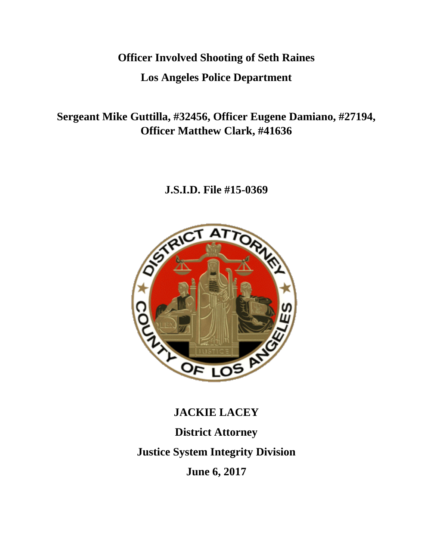## **Officer Involved Shooting of Seth Raines**

### **Los Angeles Police Department**

**Sergeant Mike Guttilla, #32456, Officer Eugene Damiano, #27194, Officer Matthew Clark, #41636**

## **J.S.I.D. File #15-0369**



# **JACKIE LACEY District Attorney Justice System Integrity Division June 6, 2017**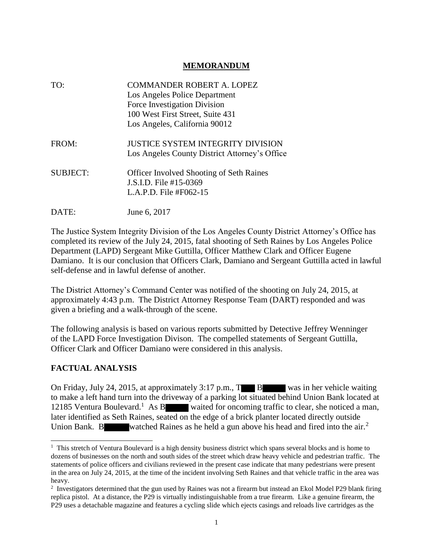#### **MEMORANDUM**

| TO:             | <b>COMMANDER ROBERT A. LOPEZ</b><br>Los Angeles Police Department<br>Force Investigation Division<br>100 West First Street, Suite 431<br>Los Angeles, California 90012 |
|-----------------|------------------------------------------------------------------------------------------------------------------------------------------------------------------------|
| FROM:           | <b>JUSTICE SYSTEM INTEGRITY DIVISION</b><br>Los Angeles County District Attorney's Office                                                                              |
| <b>SUBJECT:</b> | <b>Officer Involved Shooting of Seth Raines</b><br>J.S.I.D. File #15-0369<br>L.A.P.D. File #F062-15                                                                    |
| DATE:           | June 6, 2017                                                                                                                                                           |

The Justice System Integrity Division of the Los Angeles County District Attorney's Office has completed its review of the July 24, 2015, fatal shooting of Seth Raines by Los Angeles Police Department (LAPD) Sergeant Mike Guttilla, Officer Matthew Clark and Officer Eugene Damiano. It is our conclusion that Officers Clark, Damiano and Sergeant Guttilla acted in lawful self-defense and in lawful defense of another.

The District Attorney's Command Center was notified of the shooting on July 24, 2015, at approximately 4:43 p.m. The District Attorney Response Team (DART) responded and was given a briefing and a walk-through of the scene.

The following analysis is based on various reports submitted by Detective Jeffrey Wenninger of the LAPD Force Investigation Divison. The compelled statements of Sergeant Guttilla, Officer Clark and Officer Damiano were considered in this analysis.

### **FACTUAL ANALYSIS**

On Friday, July 24, 2015, at approximately 3:17 p.m., T B was in her vehicle waiting to make a left hand turn into the driveway of a parking lot situated behind Union Bank located at 12185 Ventura Boulevard.<sup>1</sup> As B waited for oncoming traffic to clear, she noticed a man, later identified as Seth Raines, seated on the edge of a brick planter located directly outside Union Bank. B watched Raines as he held a gun above his head and fired into the air.<sup>2</sup>

<sup>&</sup>lt;sup>1</sup> This stretch of Ventura Boulevard is a high density business district which spans several blocks and is home to dozens of businesses on the north and south sides of the street which draw heavy vehicle and pedestrian traffic. The statements of police officers and civilians reviewed in the present case indicate that many pedestrians were present in the area on July 24, 2015, at the time of the incident involving Seth Raines and that vehicle traffic in the area was heavy.

<sup>&</sup>lt;sup>2</sup> Investigators determined that the gun used by Raines was not a firearm but instead an Ekol Model P29 blank firing replica pistol. At a distance, the P29 is virtually indistinguishable from a true firearm. Like a genuine firearm, the P29 uses a detachable magazine and features a cycling slide which ejects casings and reloads live cartridges as the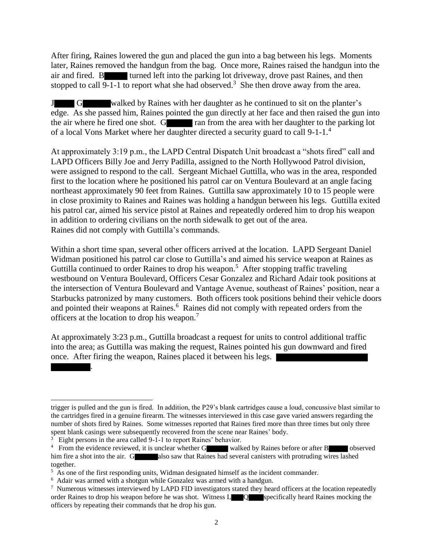After firing, Raines lowered the gun and placed the gun into a bag between his legs. Moments later, Raines removed the handgun from the bag. Once more, Raines raised the handgun into the air and fired. B turned left into the parking lot driveway, drove past Raines, and then stopped to call  $\overline{9-1-1}$  to report what she had observed.<sup>3</sup> She then drove away from the area.

J G walked by Raines with her daughter as he continued to sit on the planter's edge. As she passed him, Raines pointed the gun directly at her face and then raised the gun into the air where he fired one shot. G ran from the area with her daughter to the parking lot of a local Vons Market where her daughter directed a security guard to call 9-1-1.<sup>4</sup>

At approximately 3:19 p.m., the LAPD Central Dispatch Unit broadcast a "shots fired" call and LAPD Officers Billy Joe and Jerry Padilla, assigned to the North Hollywood Patrol division, were assigned to respond to the call. Sergeant Michael Guttilla, who was in the area, responded first to the location where he positioned his patrol car on Ventura Boulevard at an angle facing northeast approximately 90 feet from Raines. Guttilla saw approximately 10 to 15 people were in close proximity to Raines and Raines was holding a handgun between his legs. Guttilla exited his patrol car, aimed his service pistol at Raines and repeatedly ordered him to drop his weapon in addition to ordering civilians on the north sidewalk to get out of the area. Raines did not comply with Guttilla's commands.

Within a short time span, several other officers arrived at the location. LAPD Sergeant Daniel Widman positioned his patrol car close to Guttilla's and aimed his service weapon at Raines as Guttilla continued to order Raines to drop his weapon.<sup>5</sup> After stopping traffic traveling westbound on Ventura Boulevard, Officers Cesar Gonzalez and Richard Adair took positions at the intersection of Ventura Boulevard and Vantage Avenue, southeast of Raines' position, near a Starbucks patronized by many customers. Both officers took positions behind their vehicle doors and pointed their weapons at Raines.<sup>6</sup> Raines did not comply with repeated orders from the officers at the location to drop his weapon.<sup>7</sup>

At approximately 3:23 p.m., Guttilla broadcast a request for units to control additional traffic into the area; as Guttilla was making the request, Raines pointed his gun downward and fired once. After firing the weapon, Raines placed it between his legs.

.

l

trigger is pulled and the gun is fired. In addition, the P29's blank cartridges cause a loud, concussive blast similar to the cartridges fired in a genuine firearm. The witnesses interviewed in this case gave varied answers regarding the number of shots fired by Raines. Some witnesses reported that Raines fired more than three times but only three spent blank casings were subsequently recovered from the scene near Raines' body.

<sup>&</sup>lt;sup>3</sup> Eight persons in the area called 9-1-1 to report Raines' behavior.

<sup>&</sup>lt;sup>4</sup> From the evidence reviewed, it is unclear whether G walked by Raines before or after B observed him fire a shot into the air. G also saw that Raines had several canisters with protruding wires lashed together.

<sup>&</sup>lt;sup>5</sup> As one of the first responding units, Widman designated himself as the incident commander.

<sup>&</sup>lt;sup>6</sup> Adair was armed with a shotgun while Gonzalez was armed with a handgun.

<sup>&</sup>lt;sup>7</sup> Numerous witnesses interviewed by LAPD FID investigators stated they heard officers at the location repeatedly order Raines to drop his weapon before he was shot. Witness L Q specifically heard Raines mocking the officers by repeating their commands that he drop his gun.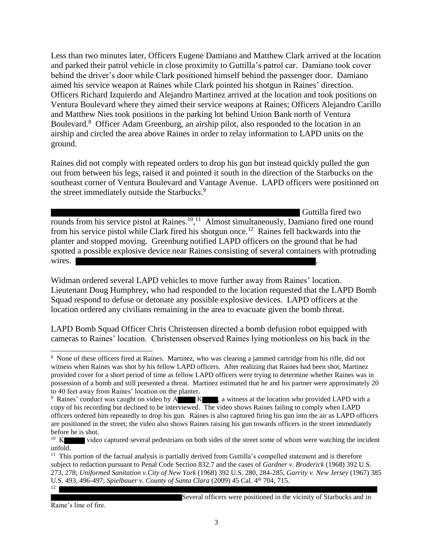Less than two minutes later, Officers Eugene Damiano and Matthew Clark arrived at the location and parked their patrol vehicle in close proximity to Guttilla's patrol car. Damiano took cover behind the driver's door while Clark positioned himself behind the passenger door. Damiano aimed his service weapon at Raines while Clark pointed his shotgun in Raines' direction. Officers Richard Izquierdo and Alejandro Martinez arrived at the location and took positions on Ventura Boulevard where they aimed their service weapons at Raines; Officers Alejandro Carillo and Matthew Nies took positions in the parking lot behind Union Bank north of Ventura Boulevard.<sup>8</sup> Officer Adam Greenburg, an airship pilot, also responded to the location in an airship and circled the area above Raines in order to relay information to LAPD units on the ground.

Raines did not comply with repeated orders to drop his gun but instead quickly pulled the gun out from between his legs, raised it and pointed it south in the direction of the Starbucks on the southeast corner of Ventura Boulevard and Vantage Avenue. LAPD officers were positioned on the street immediately outside the Starbucks.<sup>9</sup>

Guttilla fired two rounds from his service pistol at Raines.<sup>10</sup>,<sup>11</sup> Almost simultaneously, Damiano fired one round from his service pistol while Clark fired his shotgun once.<sup>12</sup> Raines fell backwards into the planter and stopped moving. Greenburg notified LAPD officers on the ground that he had spotted a possible explosive device near Raines consisting of several containers with protruding wires.

Widman ordered several LAPD vehicles to move further away from Raines' location. Lieutenant Doug Humphrey, who had responded to the location requested that the LAPD Bomb Squad respond to defuse or detonate any possible explosive devices. LAPD officers at the location ordered any civilians remaining in the area to evacuate given the bomb threat.

LAPD Bomb Squad Officer Chris Christensen directed a bomb defusion robot equipped with cameras to Raines' location. Christensen observed Raines lying motionless on his back in the

 $11$  This portion of the factual analysis is partially derived from Guttilla's compelled statement and is therefore subject to redaction pursuant to Penal Code Section 832.7 and the cases of *Gardner v. Broderick* (1968) 392 U.S. 273, 278; *Uniformed Sanitation v.City of New York* (1968) 392 U.S. 280, 284-285, *Garrity v. New Jersey* (1967) 385 U.S. 493, 496-497; *Spielbauer v. County of Santa Clara* (2009) 45 Cal. 4<sup>th</sup> 704, 715. 12

Raine's line of fire.

l

Several officers were positioned in the vicinity of Starbucks and in

<sup>8</sup> None of these officers fired at Raines. Martinez, who was clearing a jammed cartridge from his rifle, did not witness when Raines was shot by his fellow LAPD officers. After realizing that Raines had been shot, Martinez provided cover for a short period of time as fellow LAPD officers were trying to determine whether Raines was in possession of a bomb and still presented a threat. Martinez estimated that he and his partner were approximately 20 to 40 feet away from Raines' location on the planter.

<sup>&</sup>lt;sup>9</sup> Raines' conduct was caught on video by A K, a witness at the location who provided LAPD with a copy of his recording but declined to be interviewed. The video shows Raines failing to comply when LAPD officers ordered him repeatedly to drop his gun. Raines is also captured firing his gun into the air as LAPD officers are positioned in the street; the video also shows Raines raising his gun towards officers in the street immediately before he is shot.

 $10 K$ video captured several pedestrians on both sides of the street some of whom were watching the incident unfold.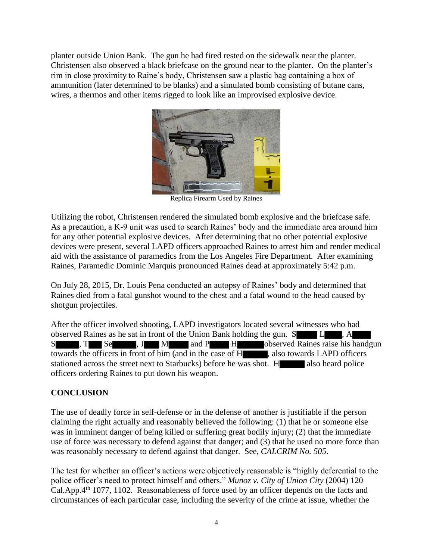planter outside Union Bank. The gun he had fired rested on the sidewalk near the planter. Christensen also observed a black briefcase on the ground near to the planter. On the planter's rim in close proximity to Raine's body, Christensen saw a plastic bag containing a box of ammunition (later determined to be blanks) and a simulated bomb consisting of butane cans, wires, a thermos and other items rigged to look like an improvised explosive device.



Replica Firearm Used by Raines

Utilizing the robot, Christensen rendered the simulated bomb explosive and the briefcase safe. As a precaution, a K-9 unit was used to search Raines' body and the immediate area around him for any other potential explosive devices. After determining that no other potential explosive devices were present, several LAPD officers approached Raines to arrest him and render medical aid with the assistance of paramedics from the Los Angeles Fire Department. After examining Raines, Paramedic Dominic Marquis pronounced Raines dead at approximately 5:42 p.m.

On July 28, 2015, Dr. Louis Pena conducted an autopsy of Raines' body and determined that Raines died from a fatal gunshot wound to the chest and a fatal wound to the head caused by shotgun projectiles.

After the officer involved shooting, LAPD investigators located several witnesses who had observed Raines as he sat in front of the Union Bank holding the gun. S L , A S , T Se , J M and P H observed Raines raise his handgun towards the officers in front of him (and in the case of H , also towards LAPD officers stationed across the street next to Starbucks) before he was shot. H also heard police officers ordering Raines to put down his weapon.

### **CONCLUSION**

The use of deadly force in self-defense or in the defense of another is justifiable if the person claiming the right actually and reasonably believed the following: (1) that he or someone else was in imminent danger of being killed or suffering great bodily injury; (2) that the immediate use of force was necessary to defend against that danger; and (3) that he used no more force than was reasonably necessary to defend against that danger. See, *CALCRIM No. 505*.

The test for whether an officer's actions were objectively reasonable is "highly deferential to the police officer's need to protect himself and others." *Munoz v. City of Union City* (2004) 120 Cal.App.4th 1077, 1102. Reasonableness of force used by an officer depends on the facts and circumstances of each particular case, including the severity of the crime at issue, whether the